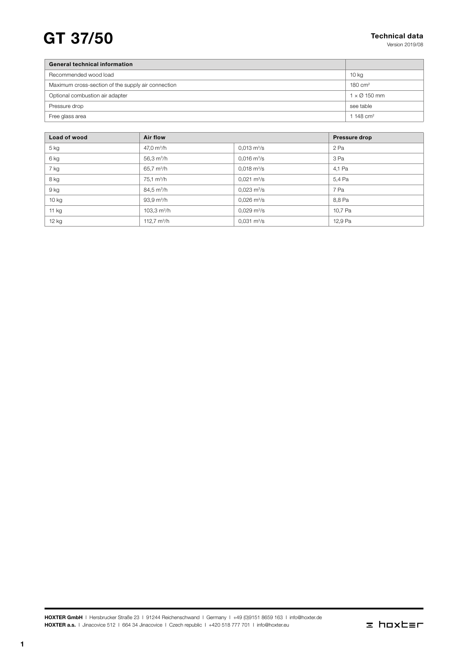# $GT$  37/50 Technical data

Version 2019/08

| <b>General technical information</b>               |                     |
|----------------------------------------------------|---------------------|
| Recommended wood load                              | 10 kg               |
| Maximum cross-section of the supply air connection | 180 cm <sup>2</sup> |
| Optional combustion air adapter                    | $1 \times Q$ 150 mm |
| Pressure drop                                      | see table           |
| Free glass area                                    | 1 148 $cm2$         |

| Load of wood | <b>Air flow</b>        |                              | <b>Pressure drop</b> |
|--------------|------------------------|------------------------------|----------------------|
| $5$ kg       | 47,0 $m^3/h$           | $0.013 \text{ m}^3/\text{s}$ | 2 Pa                 |
| 6 kg         | 56,3 $m^3/h$           | $0.016 \text{ m}^3\text{/s}$ | 3 Pa                 |
| 7 kg         | 65,7 m <sup>3</sup> /h | $0,018 \text{ m}^3/\text{s}$ | 4,1 Pa               |
| 8 kg         | $75.1 \text{ m}^3/h$   | $0.021 \text{ m}^3/\text{s}$ | 5,4 Pa               |
| 9 kg         | $84.5 \text{ m}^3/h$   | $0.023 \text{ m}^3/\text{s}$ | 7 Pa                 |
| $10$ kg      | $93.9 \text{ m}^3/h$   | $0,026 \text{ m}^3/\text{s}$ | 8,8 Pa               |
| 11 kg        | 103,3 $m^3/h$          | $0.029 \text{ m}^3/\text{s}$ | 10,7 Pa              |
| 12 kg        | 112,7 $m^3/h$          | $0,031 \text{ m}^3/\text{s}$ | 12,9 Pa              |

HOXTER GmbH | Hersbrucker Straße 23 | 91244 Reichenschwand | Germany | +49 (0)9151 8659 163 | info@hoxter.de HOXTER a.s. I Jinacovice 512 | 664 34 Jinacovice | Czech republic | +420 518 777 701 | info@hoxter.eu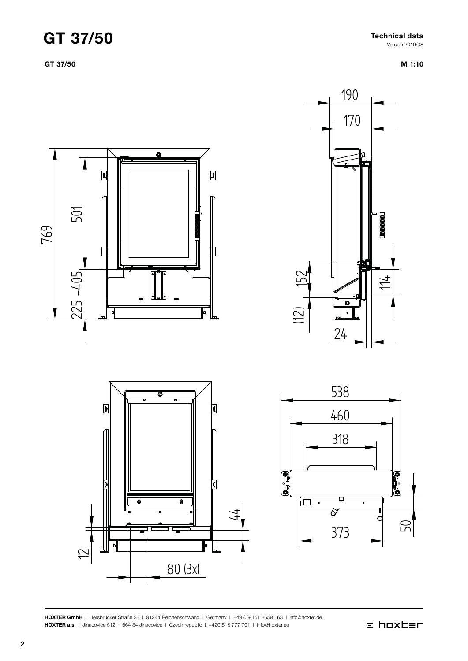### GT 37/50

GT 37/50

Technical data Version 2019/08





HOXTER GmbH | Hersbrucker Straße 23 | 91244 Reichenschwand | Germany | +49 (0)9151 8659 163 | info@hoxter.de HOXTER a.s. I Jinacovice 512 I 664 34 Jinacovice I Czech republic I +420 518 777 701 I info@hoxter.eu

### $\equiv$  hoxter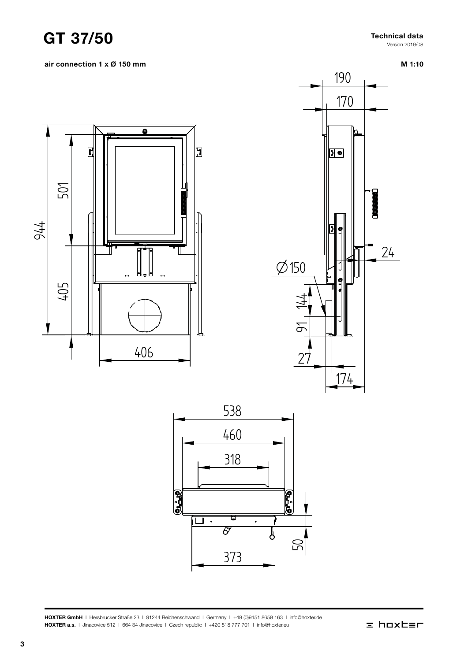

Version 2019/08

air connection 1 x Ø 150 mm

M 1:10







HOXTER GmbH | Hersbrucker Straße 23 | 91244 Reichenschwand | Germany | +49 (0)9151 8659 163 | info@hoxter.de HOXTER a.s. I Jinacovice 512 I 664 34 Jinacovice I Czech republic I +420 518 777 701 I info@hoxter.eu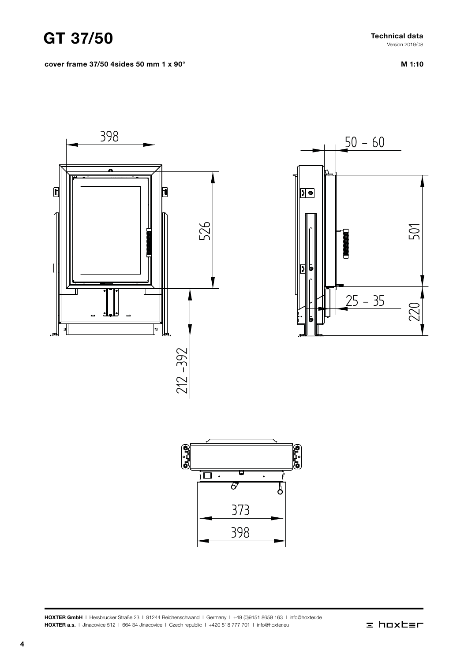### GT 37/50

cover frame 37/50 4sides 50 mm 1 x 90°

Technical data Version 2019/08

M 1:10







HOXTER GmbH | Hersbrucker Straße 23 | 91244 Reichenschwand | Germany | +49 (0)9151 8659 163 | info@hoxter.de HOXTER a.s. I Jinacovice 512 | 664 34 Jinacovice | Czech republic | +420 518 777 701 | info@hoxter.eu